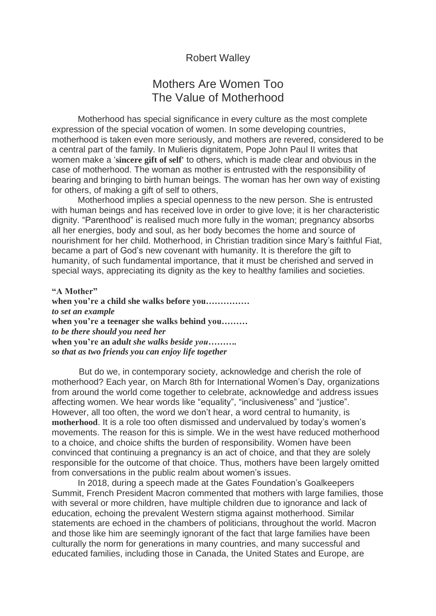## Robert Walley

## Mothers Are Women Too The Value of Motherhood

Motherhood has special significance in every culture as the most complete expression of the special vocation of women. In some developing countries, motherhood is taken even more seriously, and mothers are revered, considered to be a central part of the family. In Mulieris dignitatem, Pope John Paul II writes that women make a '**sincere gift of self'** to others, which is made clear and obvious in the case of motherhood. The woman as mother is entrusted with the responsibility of bearing and bringing to birth human beings. The woman has her own way of existing for others, of making a gift of self to others,

Motherhood implies a special openness to the new person. She is entrusted with human beings and has received love in order to give love; it is her characteristic dignity. "Parenthood" is realised much more fully in the woman; pregnancy absorbs all her energies, body and soul, as her body becomes the home and source of nourishment for her child. Motherhood, in Christian tradition since Mary's faithful Fiat, became a part of God's new covenant with humanity. It is therefore the gift to humanity, of such fundamental importance, that it must be cherished and served in special ways, appreciating its dignity as the key to healthy families and societies.

**"A Mother" when you're a child she walks before you……………** *to set an example* **when you're a teenager she walks behind you………** *to be there should you need her* **when you're an adu***lt she walks beside you………. so that as two friends you can enjoy life together*

 But do we, in contemporary society, acknowledge and cherish the role of motherhood? Each year, on March 8th for International Women's Day, organizations from around the world come together to celebrate, acknowledge and address issues affecting women. We hear words like "equality", "inclusiveness" and "justice". However, all too often, the word we don't hear, a word central to humanity, is **motherhood**. It is a role too often dismissed and undervalued by today's women's movements. The reason for this is simple. We in the west have reduced motherhood to a choice, and choice shifts the burden of responsibility. Women have been convinced that continuing a pregnancy is an act of choice, and that they are solely responsible for the outcome of that choice. Thus, mothers have been largely omitted from conversations in the public realm about women's issues.

In 2018, during a speech made at the Gates Foundation's Goalkeepers Summit, French President Macron commented that mothers with large families, those with several or more children, have multiple children due to ignorance and lack of education, echoing the prevalent Western stigma against motherhood. Similar statements are echoed in the chambers of politicians, throughout the world. Macron and those like him are seemingly ignorant of the fact that large families have been culturally the norm for generations in many countries, and many successful and educated families, including those in Canada, the United States and Europe, are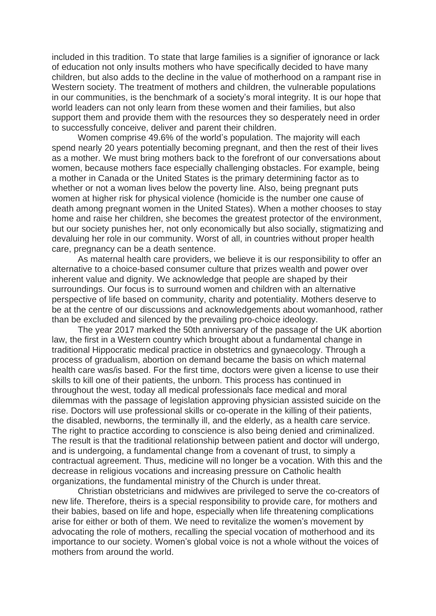included in this tradition. To state that large families is a signifier of ignorance or lack of education not only insults mothers who have specifically decided to have many children, but also adds to the decline in the value of motherhood on a rampant rise in Western society. The treatment of mothers and children, the vulnerable populations in our communities, is the benchmark of a society's moral integrity. It is our hope that world leaders can not only learn from these women and their families, but also support them and provide them with the resources they so desperately need in order to successfully conceive, deliver and parent their children.

Women comprise 49.6% of the world's population. The majority will each spend nearly 20 years potentially becoming pregnant, and then the rest of their lives as a mother. We must bring mothers back to the forefront of our conversations about women, because mothers face especially challenging obstacles. For example, being a mother in Canada or the United States is the primary determining factor as to whether or not a woman lives below the poverty line. Also, being pregnant puts women at higher risk for physical violence (homicide is the number one cause of death among pregnant women in the United States). When a mother chooses to stay home and raise her children, she becomes the greatest protector of the environment, but our society punishes her, not only economically but also socially, stigmatizing and devaluing her role in our community. Worst of all, in countries without proper health care, pregnancy can be a death sentence.

As maternal health care providers, we believe it is our responsibility to offer an alternative to a choice-based consumer culture that prizes wealth and power over inherent value and dignity. We acknowledge that people are shaped by their surroundings. Our focus is to surround women and children with an alternative perspective of life based on community, charity and potentiality. Mothers deserve to be at the centre of our discussions and acknowledgements about womanhood, rather than be excluded and silenced by the prevailing pro-choice ideology.

The year 2017 marked the 50th anniversary of the passage of the UK abortion law, the first in a Western country which brought about a fundamental change in traditional Hippocratic medical practice in obstetrics and gynaecology. Through a process of gradualism, abortion on demand became the basis on which maternal health care was/is based. For the first time, doctors were given a license to use their skills to kill one of their patients, the unborn. This process has continued in throughout the west, today all medical professionals face medical and moral dilemmas with the passage of legislation approving physician assisted suicide on the rise. Doctors will use professional skills or co-operate in the killing of their patients, the disabled, newborns, the terminally ill, and the elderly, as a health care service. The right to practice according to conscience is also being denied and criminalized. The result is that the traditional relationship between patient and doctor will undergo, and is undergoing, a fundamental change from a covenant of trust, to simply a contractual agreement. Thus, medicine will no longer be a vocation. With this and the decrease in religious vocations and increasing pressure on Catholic health organizations, the fundamental ministry of the Church is under threat.

Christian obstetricians and midwives are privileged to serve the co-creators of new life. Therefore, theirs is a special responsibility to provide care, for mothers and their babies, based on life and hope, especially when life threatening complications arise for either or both of them. We need to revitalize the women's movement by advocating the role of mothers, recalling the special vocation of motherhood and its importance to our society. Women's global voice is not a whole without the voices of mothers from around the world.